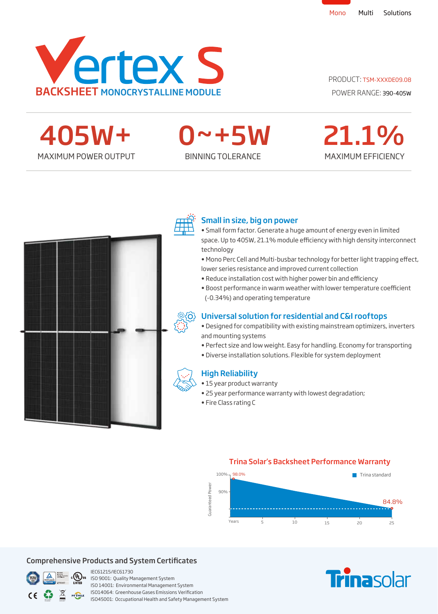

#### PRODUCT: TSM-XXXDE09.08



0~+5W

## MAXIMUM EFFICIENCY 21.1%





#### Small in size, big on power

- Small form factor. Generate a huge amount of energy even in limited space. Up to 405W, 21.1% module efficiency with high density interconnect technology
- Mono Perc Cell and Multi-busbar technology for better light trapping effect, lower series resistance and improved current collection
- Reduce installation cost with higher power bin and efficiency
- · Boost performance in warm weather with lower temperature coefficient (-0.34%) and operating temperature

#### Universal solution for residential and C&I rooftops

- Designed for compatibility with existing mainstream optimizers, inverters and mounting systems
- Perfect size and low weight. Easy for handling. Economy for transporting
- Diverse installation solutions. Flexible for system deployment

#### High Reliability

- 15 year product warranty
- 25 year performance warranty with lowest degradation;
- Fire Class rating C

#### Trina Solar's Backsheet Performance Warranty



#### Comprehensive Products and System Certificates



IEC61215/IEC61730 ISO 9001: Quality Management System ISO 14001: Environmental Management System ISO14064: Greenhouse Gases Emissions Verication ISO45001: Occupational Health and Safety Management System